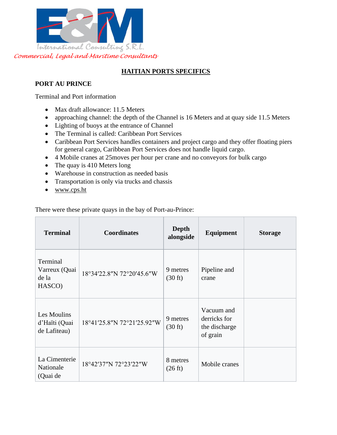

# **HAITIAN PORTS SPECIFICS**

# **PORT AU PRINCE**

Terminal and Port information

- Max draft allowance: 11.5 Meters
- approaching channel: the depth of the Channel is 16 Meters and at quay side 11.5 Meters
- Lighting of buoys at the entrance of Channel
- The Terminal is called: Caribbean Port Services
- Caribbean Port Services handles containers and project cargo and they offer floating piers for general cargo, Caribbean Port Services does not handle liquid cargo.
- 4 Mobile cranes at 25moves per hour per crane and no conveyors for bulk cargo
- The quay is 410 Meters long
- Warehouse in construction as needed basis
- Transportation is only via trucks and chassis
- [www.cps.ht](http://www.cps.ht/)

There were these private quays in the bay of Port-au-Prince:

| <b>Terminal</b>                              | <b>Coordinates</b>         | Depth<br>alongside            | Equipment                                               | <b>Storage</b> |
|----------------------------------------------|----------------------------|-------------------------------|---------------------------------------------------------|----------------|
| Terminal<br>Varreux (Quai<br>de la<br>HASCO) | 18°34'22.8"N 72°20'45.6"W  | 9 metres<br>$(30 \text{ ft})$ | Pipeline and<br>crane                                   |                |
| Les Moulins<br>d'Haïti (Quai<br>de Lafiteau) | 18°41'25.8"N 72°21'25.92"W | 9 metres<br>$(30 \text{ ft})$ | Vacuum and<br>derricks for<br>the discharge<br>of grain |                |
| La Cimenterie<br>Nationale<br>(Quai de       | 18°42'37"N 72°23'22"W      | 8 metres<br>$(26 \text{ ft})$ | Mobile cranes                                           |                |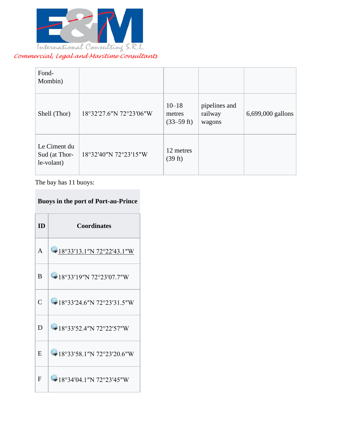

| Fond-<br>Mombin)                            |                         |                                      |                                    |                   |
|---------------------------------------------|-------------------------|--------------------------------------|------------------------------------|-------------------|
| Shell (Thor)                                | 18°32'27.6"N 72°23'06"W | $10 - 18$<br>metres<br>$(33-59)$ ft) | pipelines and<br>railway<br>wagons | 6,699,000 gallons |
| Le Ciment du<br>Sud (at Thor-<br>le-volant) | 18°32'40"N 72°23'15"W   | 12 metres<br>(39 ft)                 |                                    |                   |

The bay has 11 buoys:

# **Buoys in the port of Port-au-Prince**

| <b>ID</b>      | <b>Coordinates</b>            |
|----------------|-------------------------------|
| A              | $-18°33'13.1''N72°22'43.1''W$ |
| B              | $-18°33'19''N72°23'07.7''W$   |
| $\overline{C}$ | $-18°33'24.6''N72°23'31.5''W$ |
| D              | $-18°33'52.4''N72°22'57''W$   |
| E              | $-18°33'58.1''N72°23'20.6''W$ |
| F              | $-18°34'04.1''N72°23'45''W$   |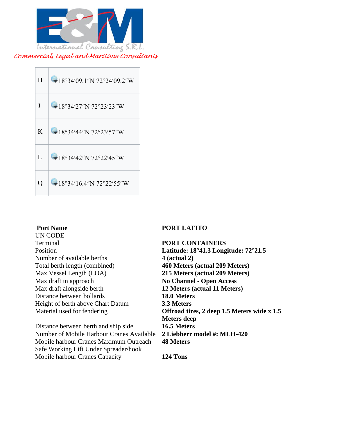



UN CODE Terminal **PORT CONTAINERS**  Number of available berths **4 (actual 2)** Total berth length (combined) **460 Meters (actual 209 Meters)**  Max Vessel Length (LOA) **215 Meters (actual 209 Meters)**  Max draft in approach **No Channel - Open Access**  Max draft alongside berth **12 Meters (actual 11 Meters)**  Distance between bollards **18.0 Meters**  Height of berth above Chart Datum **3.3 Meters** 

Distance between berth and ship side **16.5 Meters**  Number of Mobile Harbour Cranes Available **2 Liebherr model #: MLH-420**  Mobile harbour Cranes Maximum Outreach Safe Working Lift Under Spreader/hook Mobile harbour Cranes Capacity **124 Tons**

### **PORT LAFITO**

Position **Latitude: 18°41.3 Longitude: 72°21.5**  Material used for fendering **Offroad tires, 2 deep 1.5 Meters wide x 1.5 Meters deep 48 Meters**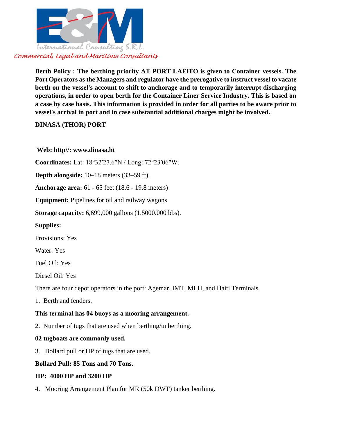

**Berth Policy : The berthing priority AT PORT LAFITO is given to Container vessels. The Port Operators as the Managers and regulator have the prerogative to instruct vessel to vacate berth on the vessel's account to shift to anchorage and to temporarily interrupt discharging operations, in order to open berth for the Container Liner Service Industry. This is based on a case by case basis. This information is provided in order for all parties to be aware prior to vessel's arrival in port and in case substantial additional charges might be involved.**

# **DINASA (THOR) PORT**

# **Web: http//: www.dinasa.ht**

**Coordinates:** Lat: 18°32′27.6″N / Long: 72°23′06″W.

**Depth alongside:** 10–18 meters (33–59 ft).

**Anchorage area:** 61 - 65 feet (18.6 - 19.8 meters)

**Equipment:** Pipelines for oil and railway wagons

**Storage capacity:** 6,699,000 gallons (1.5000.000 bbs).

**Supplies:** 

Provisions: Yes

Water: Yes

Fuel Oil: Yes

Diesel Oil: Yes

There are four depot operators in the port: Agemar, IMT, MLH, and Haiti Terminals.

1. Berth and fenders.

# **This terminal has 04 buoys as a mooring arrangement.**

2. Number of tugs that are used when berthing/unberthing.

### **02 tugboats are commonly used.**

3. Bollard pull or HP of tugs that are used.

### **Bollard Pull: 85 Tons and 70 Tons.**

### **HP: 4000 HP and 3200 HP**

4. Mooring Arrangement Plan for MR (50k DWT) tanker berthing.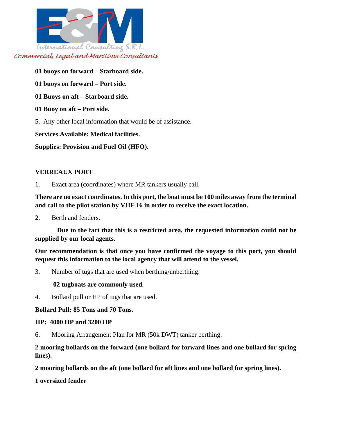

- **01 buoys on forward – Starboard side.**
- **01 buoys on forward – Port side.**
- **01 Buoys on aft – Starboard side.**
- **01 Buoy on aft – Port side.**
- 5. Any other local information that would be of assistance.

### **Services Available: Medical facilities.**

**Supplies: Provision and Fuel Oil (HFO).**

# **VERREAUX PORT**

1. Exact area (coordinates) where MR tankers usually call.

**There are no exact coordinates. In this port, the boat must be 100 miles away from the terminal and call to the pilot station by VHF 16 in order to receive the exact location.**

2. Berth and fenders.

 **Due to the fact that this is a restricted area, the requested information could not be supplied by our local agents.**

**Our recommendation is that once you have confirmed the voyage to this port, you should request this information to the local agency that will attend to the vessel.**

3. Number of tugs that are used when berthing/unberthing.

**02 tugboats are commonly used.**

4. Bollard pull or HP of tugs that are used.

### **Bollard Pull: 85 Tons and 70 Tons.**

### **HP: 4000 HP and 3200 HP**

6. Mooring Arrangement Plan for MR (50k DWT) tanker berthing.

**2 mooring bollards on the forward (one bollard for forward lines and one bollard for spring lines).**

**2 mooring bollards on the aft (one bollard for aft lines and one bollard for spring lines).**

**1 oversized fender**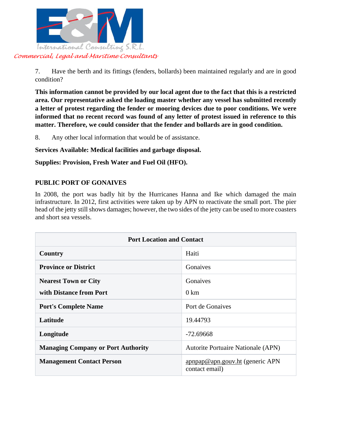

7. Have the berth and its fittings (fenders, bollards) been maintained regularly and are in good condition?

**This information cannot be provided by our local agent due to the fact that this is a restricted area. Our representative asked the loading master whether any vessel has submitted recently a letter of protest regarding the fender or mooring devices due to poor conditions. We were informed that no recent record was found of any letter of protest issued in reference to this matter. Therefore, we could consider that the fender and bollards are in good condition.**

8. Any other local information that would be of assistance.

**Services Available: Medical facilities and garbage disposal.**

**Supplies: Provision, Fresh Water and Fuel Oil (HFO).**

# **PUBLIC PORT OF GONAIVES**

In 2008, the port was badly hit by the Hurricanes Hanna and Ike which damaged the main infrastructure. In 2012, first activities were taken up by APN to reactivate the small port. The pier head of the jetty still shows damages; however, the two sides of the jetty can be used to more coasters and short sea vessels.

| <b>Port Location and Contact</b>          |                                                   |  |  |
|-------------------------------------------|---------------------------------------------------|--|--|
| Country                                   | Haiti                                             |  |  |
| <b>Province or District</b>               | Gonaives                                          |  |  |
| <b>Nearest Town or City</b>               | Gonaives                                          |  |  |
| with Distance from Port                   | $0 \text{ km}$                                    |  |  |
| <b>Port's Complete Name</b>               | Port de Gonaives                                  |  |  |
| Latitude                                  | 19.44793                                          |  |  |
| Longitude                                 | $-72.69668$                                       |  |  |
| <b>Managing Company or Port Authority</b> | <b>Autorite Portuaire Nationale (APN)</b>         |  |  |
| <b>Management Contact Person</b>          | apnpap@apn.gouv.ht (generic APN<br>contact email) |  |  |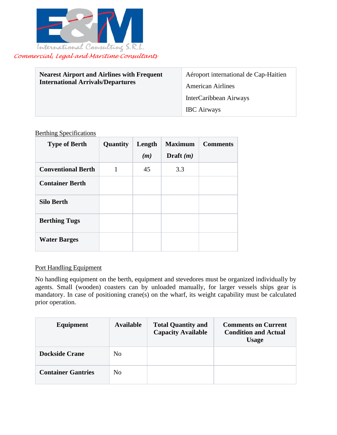

| <b>Nearest Airport and Airlines with Frequent</b><br><b>International Arrivals/Departures</b> | Aéroport international de Cap-Haitien<br><b>American Airlines</b> |
|-----------------------------------------------------------------------------------------------|-------------------------------------------------------------------|
|                                                                                               | InterCaribbean Airways                                            |
|                                                                                               | <b>IBC</b> Airways                                                |

### Berthing Specifications

| <b>Type of Berth</b>      | Quantity | Length | <b>Maximum</b> | <b>Comments</b> |
|---------------------------|----------|--------|----------------|-----------------|
|                           |          | (m)    | Draft $(m)$    |                 |
| <b>Conventional Berth</b> |          | 45     | 3.3            |                 |
| <b>Container Berth</b>    |          |        |                |                 |
| <b>Silo Berth</b>         |          |        |                |                 |
| <b>Berthing Tugs</b>      |          |        |                |                 |
| <b>Water Barges</b>       |          |        |                |                 |

### Port Handling Equipment

No handling equipment on the berth, equipment and stevedores must be organized individually by agents. Small (wooden) coasters can by unloaded manually, for larger vessels ships gear is mandatory. In case of positioning crane(s) on the wharf, its weight capability must be calculated prior operation.

| Equipment                 | <b>Available</b> | <b>Total Quantity and</b><br><b>Capacity Available</b> | <b>Comments on Current</b><br><b>Condition and Actual</b><br><b>Usage</b> |
|---------------------------|------------------|--------------------------------------------------------|---------------------------------------------------------------------------|
| <b>Dockside Crane</b>     | No               |                                                        |                                                                           |
| <b>Container Gantries</b> | No               |                                                        |                                                                           |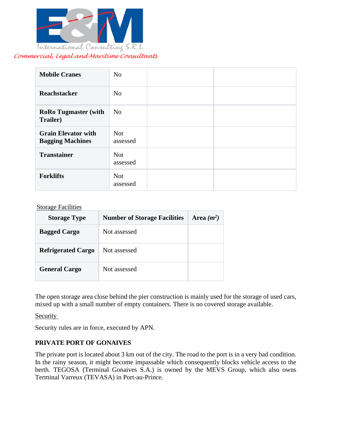

| <b>Mobile Cranes</b>                                  | N <sub>o</sub>         |  |
|-------------------------------------------------------|------------------------|--|
| <b>Reachstacker</b>                                   | N <sub>o</sub>         |  |
| <b>RoRo Tugmaster (with</b><br>Trailer)               | N <sub>o</sub>         |  |
| <b>Grain Elevator with</b><br><b>Bagging Machines</b> | <b>Not</b><br>assessed |  |
| <b>Transtainer</b>                                    | <b>Not</b><br>assessed |  |
| <b>Forklifts</b>                                      | <b>Not</b><br>assessed |  |

### **Storage Facilities**

| <b>Storage Type</b>       | <b>Number of Storage Facilities</b> | Area $(m^2)$ |
|---------------------------|-------------------------------------|--------------|
| <b>Bagged Cargo</b>       | Not assessed                        |              |
| <b>Refrigerated Cargo</b> | Not assessed                        |              |
| <b>General Cargo</b>      | Not assessed                        |              |

The open storage area close behind the pier construction is mainly used for the storage of used cars, mixed up with a small number of empty containers. There is no covered storage available.

Security

Security rules are in force, executed by APN.

# **PRIVATE PORT OF GONAIVES**

The private port is located about 3 km out of the city. The road to the port is in a very bad condition. In the rainy season, it might become impassable which consequently blocks vehicle access to the berth. TEGOSA (Terminal Gonaives S.A.) is owned by the MEVS Group, which also owns Terminal Varreux (TEVASA) in Port-au-Prince.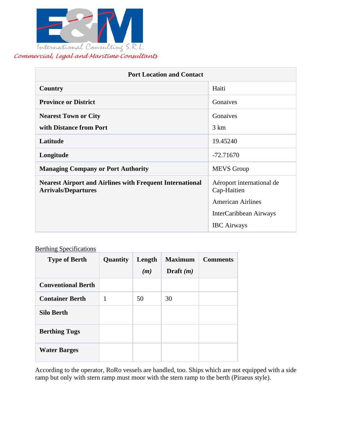

| <b>Port Location and Contact</b>                                                              |                                          |  |  |
|-----------------------------------------------------------------------------------------------|------------------------------------------|--|--|
| Country                                                                                       | Haiti                                    |  |  |
| <b>Province or District</b>                                                                   | Gonaives                                 |  |  |
| <b>Nearest Town or City</b>                                                                   | Gonaives                                 |  |  |
| with Distance from Port                                                                       | $3 \text{ km}$                           |  |  |
| Latitude                                                                                      | 19.45240                                 |  |  |
| Longitude                                                                                     | $-72.71670$                              |  |  |
| <b>Managing Company or Port Authority</b>                                                     | <b>MEVS</b> Group                        |  |  |
| <b>Nearest Airport and Airlines with Frequent International</b><br><b>Arrivals/Departures</b> | Aéroport international de<br>Cap-Haitien |  |  |
|                                                                                               | <b>American Airlines</b>                 |  |  |
|                                                                                               | InterCaribbean Airways                   |  |  |
|                                                                                               | <b>IBC</b> Airways                       |  |  |

# **Berthing Specifications**

| <b>Type of Berth</b>      | Quantity | Length<br>(m) | <b>Maximum</b><br>Draft $(m)$ | <b>Comments</b> |
|---------------------------|----------|---------------|-------------------------------|-----------------|
| <b>Conventional Berth</b> |          |               |                               |                 |
| <b>Container Berth</b>    | 1        | 50            | 30                            |                 |
| <b>Silo Berth</b>         |          |               |                               |                 |
| <b>Berthing Tugs</b>      |          |               |                               |                 |
| <b>Water Barges</b>       |          |               |                               |                 |

According to the operator, RoRo vessels are handled, too. Ships which are not equipped with a side ramp but only with stern ramp must moor with the stern ramp to the berth (Piraeus style).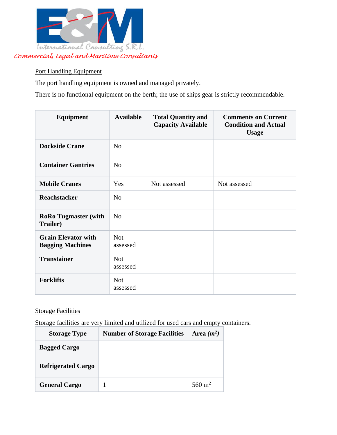

# Port Handling Equipment

The port handling equipment is owned and managed privately.

There is no functional equipment on the berth; the use of ships gear is strictly recommendable.

| Equipment                                             | <b>Available</b>       | <b>Total Quantity and</b><br><b>Capacity Available</b> | <b>Comments on Current</b><br><b>Condition and Actual</b><br><b>Usage</b> |
|-------------------------------------------------------|------------------------|--------------------------------------------------------|---------------------------------------------------------------------------|
| <b>Dockside Crane</b>                                 | N <sub>o</sub>         |                                                        |                                                                           |
| <b>Container Gantries</b>                             | N <sub>0</sub>         |                                                        |                                                                           |
| <b>Mobile Cranes</b>                                  | Yes                    | Not assessed                                           | Not assessed                                                              |
| Reachstacker                                          | N <sub>o</sub>         |                                                        |                                                                           |
| <b>RoRo Tugmaster (with</b><br>Trailer)               | N <sub>o</sub>         |                                                        |                                                                           |
| <b>Grain Elevator with</b><br><b>Bagging Machines</b> | <b>Not</b><br>assessed |                                                        |                                                                           |
| <b>Transtainer</b>                                    | <b>Not</b><br>assessed |                                                        |                                                                           |
| <b>Forklifts</b>                                      | <b>Not</b><br>assessed |                                                        |                                                                           |

# Storage Facilities

Storage facilities are very limited and utilized for used cars and empty containers.

| <b>Storage Type</b>       | <b>Number of Storage Facilities</b> | Area $(m^2)$       |
|---------------------------|-------------------------------------|--------------------|
| <b>Bagged Cargo</b>       |                                     |                    |
| <b>Refrigerated Cargo</b> |                                     |                    |
| <b>General Cargo</b>      |                                     | 560 m <sup>2</sup> |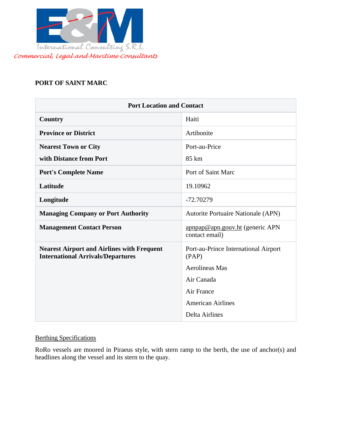

# **PORT OF SAINT MARC**

| <b>Port Location and Contact</b>                                                              |                                                   |  |  |  |
|-----------------------------------------------------------------------------------------------|---------------------------------------------------|--|--|--|
| <b>Country</b>                                                                                | Haiti                                             |  |  |  |
| <b>Province or District</b>                                                                   | Artibonite                                        |  |  |  |
| <b>Nearest Town or City</b>                                                                   | Port-au-Price                                     |  |  |  |
| with Distance from Port                                                                       | 85 km                                             |  |  |  |
| <b>Port's Complete Name</b>                                                                   | Port of Saint Marc                                |  |  |  |
| Latitude                                                                                      | 19.10962                                          |  |  |  |
| Longitude                                                                                     | $-72.70279$                                       |  |  |  |
| <b>Managing Company or Port Authority</b>                                                     | Autorite Portuaire Nationale (APN)                |  |  |  |
| <b>Management Contact Person</b>                                                              | apnpap@apn.gouv.ht (generic APN<br>contact email) |  |  |  |
| <b>Nearest Airport and Airlines with Frequent</b><br><b>International Arrivals/Departures</b> | Port-au-Prince International Airport<br>(PAP)     |  |  |  |
|                                                                                               | <b>Aerolineas Mas</b>                             |  |  |  |
|                                                                                               | Air Canada                                        |  |  |  |
|                                                                                               | Air France                                        |  |  |  |
|                                                                                               | <b>American Airlines</b>                          |  |  |  |
|                                                                                               | <b>Delta Airlines</b>                             |  |  |  |

# Berthing Specifications

RoRo vessels are moored in Piraeus style, with stern ramp to the berth, the use of anchor(s) and headlines along the vessel and its stern to the quay.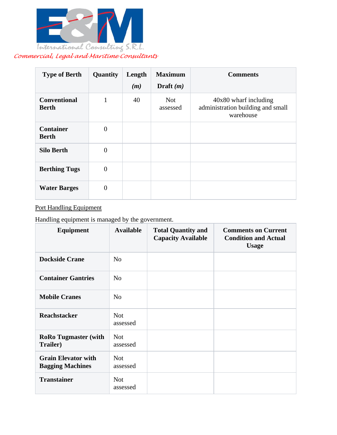

| <b>Type of Berth</b>                | Quantity       | Length<br>(m) | <b>Maximum</b><br>Draft $(m)$ | <b>Comments</b>                                                         |
|-------------------------------------|----------------|---------------|-------------------------------|-------------------------------------------------------------------------|
| <b>Conventional</b><br><b>Berth</b> | 1              | 40            | <b>Not</b><br>assessed        | 40x80 wharf including<br>administration building and small<br>warehouse |
| <b>Container</b><br><b>Berth</b>    | $\Omega$       |               |                               |                                                                         |
| <b>Silo Berth</b>                   | $\Omega$       |               |                               |                                                                         |
| <b>Berthing Tugs</b>                | $\theta$       |               |                               |                                                                         |
| <b>Water Barges</b>                 | $\overline{0}$ |               |                               |                                                                         |

# Port Handling Equipment

Handling equipment is managed by the government.

| Equipment                                             | <b>Available</b>       | <b>Total Quantity and</b><br><b>Capacity Available</b> | <b>Comments on Current</b><br><b>Condition and Actual</b><br><b>Usage</b> |
|-------------------------------------------------------|------------------------|--------------------------------------------------------|---------------------------------------------------------------------------|
| <b>Dockside Crane</b>                                 | N <sub>o</sub>         |                                                        |                                                                           |
| <b>Container Gantries</b>                             | N <sub>o</sub>         |                                                        |                                                                           |
| <b>Mobile Cranes</b>                                  | N <sub>o</sub>         |                                                        |                                                                           |
| <b>Reachstacker</b>                                   | <b>Not</b><br>assessed |                                                        |                                                                           |
| <b>RoRo Tugmaster (with</b><br>Trailer)               | <b>Not</b><br>assessed |                                                        |                                                                           |
| <b>Grain Elevator with</b><br><b>Bagging Machines</b> | <b>Not</b><br>assessed |                                                        |                                                                           |
| <b>Transtainer</b>                                    | <b>Not</b><br>assessed |                                                        |                                                                           |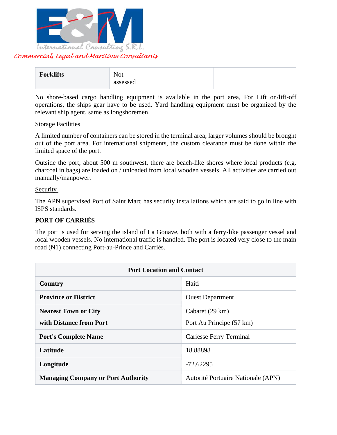

| <b>Forklifts</b> | . <del>.</del><br><b>Not</b> |  |
|------------------|------------------------------|--|
|                  | assessed                     |  |

No shore-based cargo handling equipment is available in the port area, For Lift on/lift-off operations, the ships gear have to be used. Yard handling equipment must be organized by the relevant ship agent, same as longshoremen.

#### Storage Facilities

A limited number of containers can be stored in the terminal area; larger volumes should be brought out of the port area. For international shipments, the custom clearance must be done within the limited space of the port.

Outside the port, about 500 m southwest, there are beach-like shores where local products (e.g. charcoal in bags) are loaded on / unloaded from local wooden vessels. All activities are carried out manually/manpower.

### Security

The APN supervised Port of Saint Marc has security installations which are said to go in line with ISPS standards.

### **PORT OF CARRIÈS**

The port is used for serving the island of La Gonave, both with a ferry-like passenger vessel and local wooden vessels. No international traffic is handled. The port is located very close to the main road (N1) connecting Port-au-Prince and Carriès.

| <b>Port Location and Contact</b>          |                                    |  |  |  |
|-------------------------------------------|------------------------------------|--|--|--|
| Country                                   | Haiti                              |  |  |  |
| <b>Province or District</b>               | <b>Ouest Department</b>            |  |  |  |
| <b>Nearest Town or City</b>               | Cabaret (29 km)                    |  |  |  |
| with Distance from Port                   | Port Au Principe (57 km)           |  |  |  |
| <b>Port's Complete Name</b>               | Cariesse Ferry Terminal            |  |  |  |
| Latitude                                  | 18.88898                           |  |  |  |
| Longitude                                 | $-72.62295$                        |  |  |  |
| <b>Managing Company or Port Authority</b> | Autorité Portuaire Nationale (APN) |  |  |  |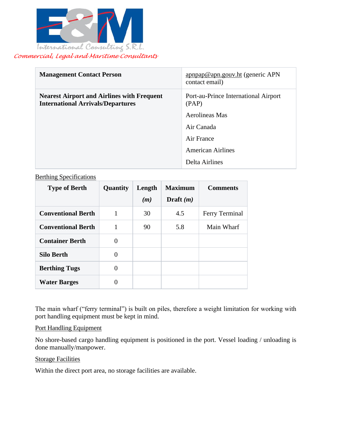

| <b>Management Contact Person</b>                                                              | $\frac{\text{appap@apn.gouv.h}{\text{time}}$ (generic APN<br>contact email) |
|-----------------------------------------------------------------------------------------------|-----------------------------------------------------------------------------|
| <b>Nearest Airport and Airlines with Frequent</b><br><b>International Arrivals/Departures</b> | Port-au-Prince International Airport<br>(PAP)                               |
|                                                                                               | Aerolineas Mas                                                              |
|                                                                                               | Air Canada                                                                  |
|                                                                                               | Air France                                                                  |
|                                                                                               | <b>American Airlines</b>                                                    |
|                                                                                               | Delta Airlines                                                              |

### Berthing Specifications

| <b>Type of Berth</b>      | Quantity | Length | <b>Maximum</b> | <b>Comments</b> |
|---------------------------|----------|--------|----------------|-----------------|
|                           |          | (m)    | Draft $(m)$    |                 |
| <b>Conventional Berth</b> | 1        | 30     | 4.5            | Ferry Terminal  |
| <b>Conventional Berth</b> | 1        | 90     | 5.8            | Main Wharf      |
| <b>Container Berth</b>    | 0        |        |                |                 |
| <b>Silo Berth</b>         | 0        |        |                |                 |
| <b>Berthing Tugs</b>      | 0        |        |                |                 |
| <b>Water Barges</b>       | 0        |        |                |                 |

The main wharf ("ferry terminal") is built on piles, therefore a weight limitation for working with port handling equipment must be kept in mind.

### Port Handling Equipment

No shore-based cargo handling equipment is positioned in the port. Vessel loading / unloading is done manually/manpower.

### **Storage Facilities**

Within the direct port area, no storage facilities are available.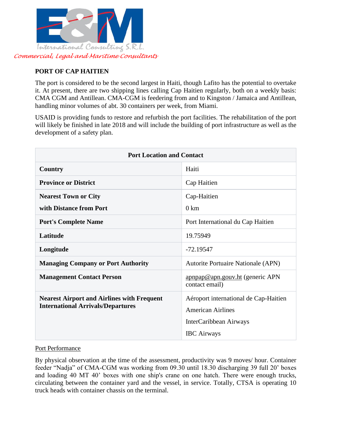

# **PORT OF CAP HAITIEN**

The port is considered to be the second largest in Haiti, though Lafito has the potential to overtake it. At present, there are two shipping lines calling Cap Haitien regularly, both on a weekly basis: CMA CGM and Antillean. CMA-CGM is feedering from and to Kingston / Jamaica and Antillean, handling minor volumes of abt. 30 containers per week, from Miami.

USAID is providing funds to restore and refurbish the port facilities. The rehabilitation of the port will likely be finished in late 2018 and will include the building of port infrastructure as well as the development of a safety plan.

| <b>Port Location and Contact</b>                                                              |                                                                                                                   |  |  |  |
|-----------------------------------------------------------------------------------------------|-------------------------------------------------------------------------------------------------------------------|--|--|--|
| Country                                                                                       | Haiti                                                                                                             |  |  |  |
| <b>Province or District</b>                                                                   | Cap Haitien                                                                                                       |  |  |  |
| <b>Nearest Town or City</b>                                                                   | Cap-Haitien                                                                                                       |  |  |  |
| with Distance from Port                                                                       | $0 \text{ km}$                                                                                                    |  |  |  |
| <b>Port's Complete Name</b>                                                                   | Port International du Cap Haitien                                                                                 |  |  |  |
| Latitude                                                                                      | 19.75949                                                                                                          |  |  |  |
| Longitude                                                                                     | $-72.19547$                                                                                                       |  |  |  |
| <b>Managing Company or Port Authority</b>                                                     | <b>Autorite Portuaire Nationale (APN)</b>                                                                         |  |  |  |
| <b>Management Contact Person</b>                                                              | apnpap@apn.gouv.ht (generic APN<br>contact email)                                                                 |  |  |  |
| <b>Nearest Airport and Airlines with Frequent</b><br><b>International Arrivals/Departures</b> | Aéroport international de Cap-Haitien<br><b>American Airlines</b><br>InterCaribbean Airways<br><b>IBC</b> Airways |  |  |  |

# Port Performance

By physical observation at the time of the assessment, productivity was 9 moves/ hour. Container feeder "Nadja" of CMA-CGM was working from 09.30 until 18.30 discharging 39 full 20' boxes and loading 40 MT 40' boxes with one ship's crane on one hatch. There were enough trucks, circulating between the container yard and the vessel, in service. Totally, CTSA is operating 10 truck heads with container chassis on the terminal.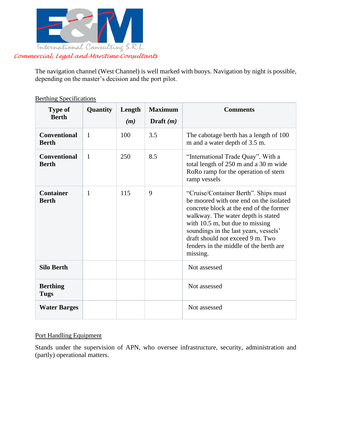

The navigation channel (West Channel) is well marked with buoys. Navigation by night is possible, depending on the master's decision and the port pilot.

| <b>Type of</b><br><b>Berth</b>      | Quantity     | Length<br>(m) | <b>Maximum</b><br>Draft $(m)$ | <b>Comments</b>                                                                                                                                                                                                                                                                                                                         |
|-------------------------------------|--------------|---------------|-------------------------------|-----------------------------------------------------------------------------------------------------------------------------------------------------------------------------------------------------------------------------------------------------------------------------------------------------------------------------------------|
| <b>Conventional</b><br><b>Berth</b> | $\mathbf{1}$ | 100           | 3.5                           | The cabotage berth has a length of 100<br>m and a water depth of 3.5 m.                                                                                                                                                                                                                                                                 |
| <b>Conventional</b><br><b>Berth</b> | 1            | 250           | 8.5                           | "International Trade Quay". With a<br>total length of 250 m and a 30 m wide<br>RoRo ramp for the operation of stern<br>ramp vessels                                                                                                                                                                                                     |
| <b>Container</b><br><b>Berth</b>    | 1            | 115           | 9                             | "Cruise/Container Berth". Ships must<br>be moored with one end on the isolated<br>concrete block at the end of the former<br>walkway. The water depth is stated<br>with $10.5$ m, but due to missing<br>soundings in the last years, vessels'<br>draft should not exceed 9 m. Two<br>fenders in the middle of the berth are<br>missing. |
| <b>Silo Berth</b>                   |              |               |                               | Not assessed                                                                                                                                                                                                                                                                                                                            |
| <b>Berthing</b><br>Tugs             |              |               |                               | Not assessed                                                                                                                                                                                                                                                                                                                            |
| <b>Water Barges</b>                 |              |               |                               | Not assessed                                                                                                                                                                                                                                                                                                                            |

Berthing Specifications

# Port Handling Equipment

Stands under the supervision of APN, who oversee infrastructure, security, administration and (partly) operational matters.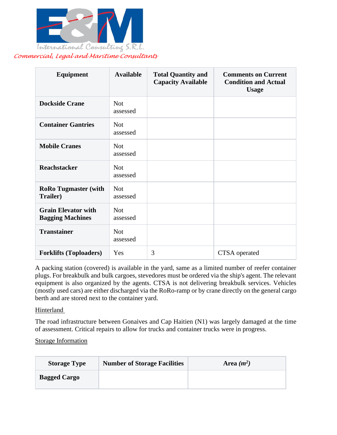

| <b>Equipment</b>                                      | <b>Available</b>       | <b>Total Quantity and</b><br><b>Capacity Available</b> | <b>Comments on Current</b><br><b>Condition and Actual</b><br><b>Usage</b> |
|-------------------------------------------------------|------------------------|--------------------------------------------------------|---------------------------------------------------------------------------|
| <b>Dockside Crane</b>                                 | <b>Not</b><br>assessed |                                                        |                                                                           |
| <b>Container Gantries</b>                             | <b>Not</b><br>assessed |                                                        |                                                                           |
| <b>Mobile Cranes</b>                                  | <b>Not</b><br>assessed |                                                        |                                                                           |
| <b>Reachstacker</b>                                   | <b>Not</b><br>assessed |                                                        |                                                                           |
| <b>RoRo Tugmaster (with</b><br><b>Trailer)</b>        | <b>Not</b><br>assessed |                                                        |                                                                           |
| <b>Grain Elevator with</b><br><b>Bagging Machines</b> | <b>Not</b><br>assessed |                                                        |                                                                           |
| <b>Transtainer</b>                                    | <b>Not</b><br>assessed |                                                        |                                                                           |
| <b>Forklifts (Toploaders)</b>                         | Yes                    | 3                                                      | CTSA operated                                                             |

A packing station (covered) is available in the yard, same as a limited number of reefer container plugs. For breakbulk and bulk cargoes, stevedores must be ordered via the ship's agent. The relevant equipment is also organized by the agents. CTSA is not delivering breakbulk services. Vehicles (mostly used cars) are either discharged via the RoRo-ramp or by crane directly on the general cargo berth and are stored next to the container yard.

### Hinterland

The road infrastructure between Gonaives and Cap Haitien (N1) was largely damaged at the time of assessment. Critical repairs to allow for trucks and container trucks were in progress.

### Storage Information

| <b>Storage Type</b> | <b>Number of Storage Facilities</b> | Area $(m^2)$ |
|---------------------|-------------------------------------|--------------|
| <b>Bagged Cargo</b> |                                     |              |